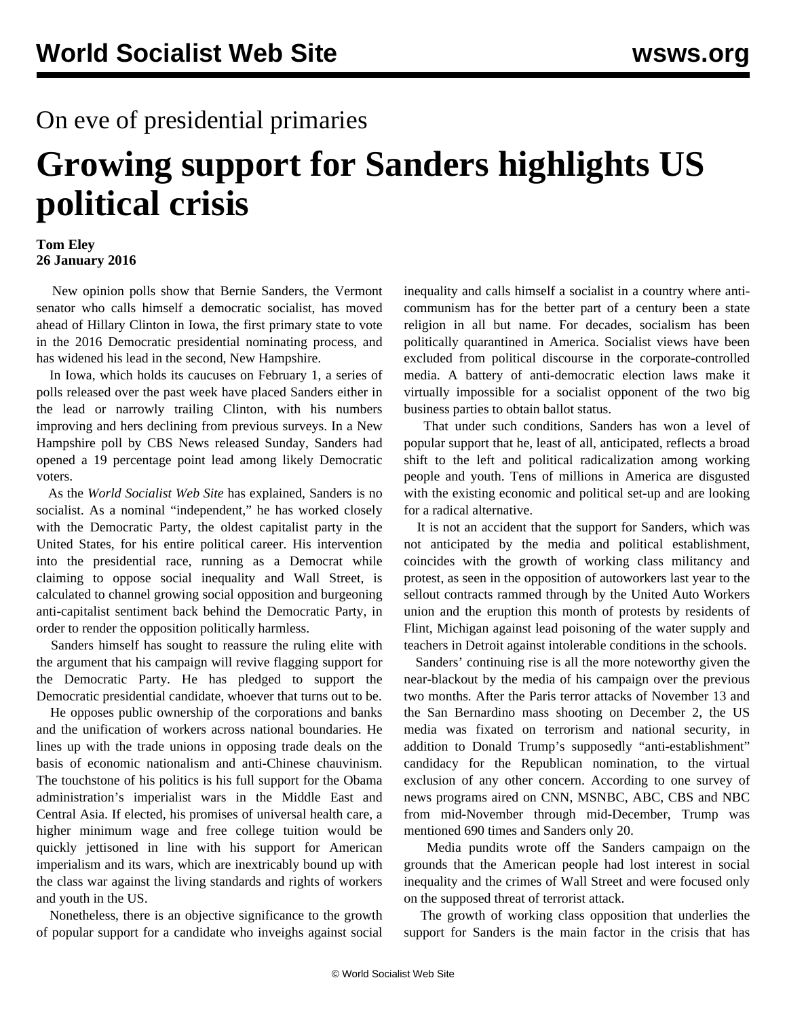## On eve of presidential primaries

## **Growing support for Sanders highlights US political crisis**

## **Tom Eley 26 January 2016**

 New opinion polls show that Bernie Sanders, the Vermont senator who calls himself a democratic socialist, has moved ahead of Hillary Clinton in Iowa, the first primary state to vote in the 2016 Democratic presidential nominating process, and has widened his lead in the second, New Hampshire.

 In Iowa, which holds its caucuses on February 1, a series of polls released over the past week have placed Sanders either in the lead or narrowly trailing Clinton, with his numbers improving and hers declining from previous surveys. In a New Hampshire poll by CBS News released Sunday, Sanders had opened a 19 percentage point lead among likely Democratic voters.

 As the *World Socialist Web Site* has [explained](/en/articles/2015/07/16/sand-j16.html), Sanders is no socialist. As a nominal "independent," he has worked closely with the Democratic Party, the oldest capitalist party in the United States, for his entire political career. His intervention into the presidential race, running as a Democrat while claiming to oppose social inequality and Wall Street, is calculated to channel growing social opposition and burgeoning anti-capitalist sentiment back behind the Democratic Party, in order to render the opposition politically harmless.

 Sanders himself has sought to reassure the ruling elite with the argument that his campaign will revive flagging support for the Democratic Party. He has pledged to support the Democratic presidential candidate, whoever that turns out to be.

 He opposes public ownership of the corporations and banks and the unification of workers across national boundaries. He lines up with the trade unions in opposing trade deals on the basis of economic nationalism and anti-Chinese chauvinism. The touchstone of his politics is his full support for the Obama administration's imperialist wars in the Middle East and Central Asia. If elected, his promises of universal health care, a higher minimum wage and free college tuition would be quickly jettisoned in line with his support for American imperialism and its wars, which are inextricably bound up with the class war against the living standards and rights of workers and youth in the US.

 Nonetheless, there is an objective significance to the growth of popular support for a candidate who inveighs against social

inequality and calls himself a socialist in a country where anticommunism has for the better part of a century been a state religion in all but name. For decades, socialism has been politically quarantined in America. Socialist views have been excluded from political discourse in the corporate-controlled media. A battery of anti-democratic election laws make it virtually impossible for a socialist opponent of the two big business parties to obtain ballot status.

 That under such conditions, Sanders has won a level of popular support that he, least of all, anticipated, reflects a broad shift to the left and political radicalization among working people and youth. Tens of millions in America are disgusted with the existing economic and political set-up and are looking for a radical alternative.

 It is not an accident that the support for Sanders, which was not anticipated by the media and political establishment, coincides with the growth of working class militancy and protest, as seen in the opposition of autoworkers last year to the sellout contracts rammed through by the United Auto Workers union and the eruption this month of protests by residents of Flint, Michigan against lead poisoning of the water supply and teachers in Detroit against intolerable conditions in the schools.

 Sanders' continuing rise is all the more noteworthy given the near-blackout by the media of his campaign over the previous two months. After the Paris terror attacks of November 13 and the San Bernardino mass shooting on December 2, the US media was fixated on terrorism and national security, in addition to Donald Trump's supposedly "anti-establishment" candidacy for the Republican nomination, to the virtual exclusion of any other concern. According to one survey of news programs aired on CNN, MSNBC, ABC, CBS and NBC from mid-November through mid-December, Trump was mentioned 690 times and Sanders only 20.

 Media pundits wrote off the Sanders campaign on the grounds that the American people had lost interest in social inequality and the crimes of Wall Street and were focused only on the supposed threat of terrorist attack.

 The growth of working class opposition that underlies the support for Sanders is the main factor in the crisis that has